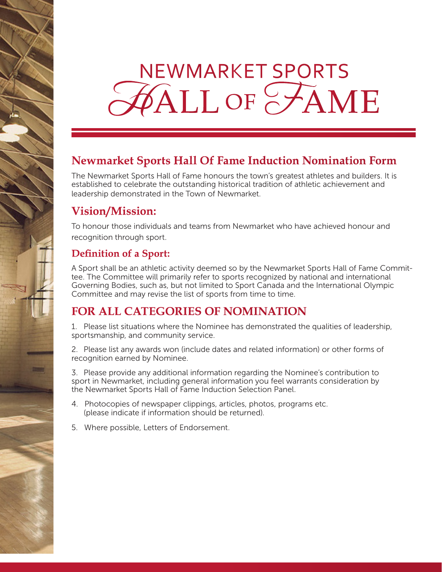# **NEWMARKET SPORTS FALL OF FAME**

## **Newmarket Sports Hall Of Fame Induction Nomination Form**

The Newmarket Sports Hall of Fame honours the town's greatest athletes and builders. It is established to celebrate the outstanding historical tradition of athletic achievement and leadership demonstrated in the Town of Newmarket.

#### **Vision/Mission:**

To honour those individuals and teams from Newmarket who have achieved honour and recognition through sport.

#### **Definition of a Sport:**

A Sport shall be an athletic activity deemed so by the Newmarket Sports Hall of Fame Committee. The Committee will primarily refer to sports recognized by national and international Governing Bodies, such as, but not limited to Sport Canada and the International Olympic Committee and may revise the list of sports from time to time.

#### **FOR ALL CATEGORIES OF NOMINATION**

1. Please list situations where the Nominee has demonstrated the qualities of leadership, sportsmanship, and community service.

2. Please list any awards won (include dates and related information) or other forms of recognition earned by Nominee.

3. Please provide any additional information regarding the Nominee's contribution to sport in Newmarket, including general information you feel warrants consideration by the Newmarket Sports Hall of Fame Induction Selection Panel.

- 4. Photocopies of newspaper clippings, articles, photos, programs etc. (please indicate if information should be returned).
- 5. Where possible, Letters of Endorsement.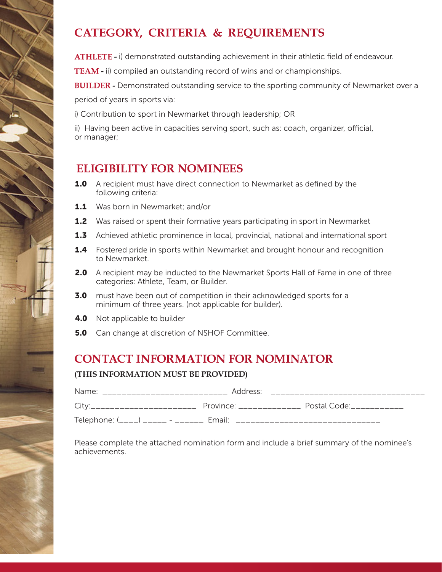## **CATEGORY, CRITERIA & REQUIREMENTS**

**ATHLETE -** i) demonstrated outstanding achievement in their athletic field of endeavour.

**TEAM -** ii) compiled an outstanding record of wins and or championships.

**BUILDER -** Demonstrated outstanding service to the sporting community of Newmarket over a period of years in sports via:

i) Contribution to sport in Newmarket through leadership; OR

ii) Having been active in capacities serving sport, such as: coach, organizer, official, or manager;

#### **ELIGIBILITY FOR NOMINEES**

- **1.0** A recipient must have direct connection to Newmarket as defined by the following criteria:
- **1.1** Was born in Newmarket; and/or
- **1.2** Was raised or spent their formative years participating in sport in Newmarket
- **1.3** Achieved athletic prominence in local, provincial, national and international sport
- **1.4** Fostered pride in sports within Newmarket and brought honour and recognition to Newmarket.
- **2.0** A recipient may be inducted to the Newmarket Sports Hall of Fame in one of three categories: Athlete, Team, or Builder.
- **3.0** must have been out of competition in their acknowledged sports for a minimum of three years. (not applicable for builder).
- **4.0** Not applicable to builder
- **5.0** Can change at discretion of NSHOF Committee.

#### **CONTACT INFORMATION FOR NOMINATOR**

#### **(THIS INFORMATION MUST BE PROVIDED)**

| Name <sup>.</sup>         | Address:           |              |
|---------------------------|--------------------|--------------|
|                           | Province:          | Postal Code: |
| Telephone: (____) _____ - | Fmail <sup>.</sup> |              |

Please complete the attached nomination form and include a brief summary of the nominee's achievements.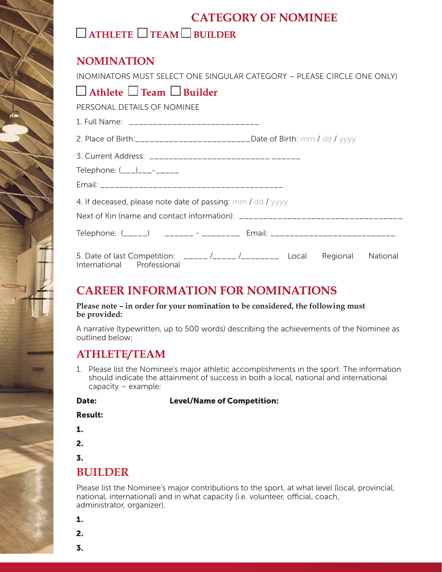### **CATEGORY OF NOMINEE**

## **ATHLETE TEAM BUILDER**

#### **NOMINATION**

(NOMINATORS MUST SELECT ONE SINGULAR CATEGORY – PLEASE CIRCLE ONE ONLY)  **Athlete Team Builder** PERSONAL DETAILS OF NOMINEE 1. Full Name: \_\_\_\_\_\_\_\_\_\_\_\_\_\_\_\_\_\_\_\_\_\_\_\_\_\_\_ 2. Place of Birth:\_\_\_\_\_\_\_\_\_\_\_\_\_\_\_\_\_\_\_\_\_\_\_\_Date of Birth: mm / dd / yyyy 3. Current Address: **Example 2018** Telephone:  $($ \_\_\_ $)$ \_\_\_-\_\_\_\_ Email: \_\_\_\_\_\_\_\_\_\_\_\_\_\_\_\_\_\_\_\_\_\_\_\_\_\_\_\_\_\_\_\_\_\_\_\_\_\_ 4. If deceased, please note date of passing: mm / dd / yyyy Next of Kin (name and contact information): \_\_\_\_\_\_\_\_\_\_\_\_\_\_\_\_\_\_\_\_\_\_\_\_\_\_\_\_\_\_\_\_\_\_ Telephone: (\_\_\_\_\_) \_\_\_\_\_\_\_\_ -\_\_\_\_\_\_\_\_\_ Email: \_\_\_\_\_\_\_\_\_\_\_\_\_\_\_\_\_\_\_\_\_\_\_\_\_\_\_\_\_\_\_\_\_\_ 5. Date of last Competition: \_\_\_\_\_ /\_\_\_\_\_ /\_\_\_\_\_\_\_\_ Local Regional National International Professional

### **CAREER INFORMATION FOR NOMINATIONS**

**Please note – in order for your nomination to be considered, the following must be provided:**

A narrative (typewritten, up to 500 words) describing the achievements of the Nominee as outlined below;

#### **ATHLETE/TEAM**

1. Please list the Nominee's major athletic accomplishments in the sport. The information should indicate the attainment of success in both a local, national and international capacity – example:

#### Date: Level/Name of Competition:

#### Result:

- 1.
- 2.
- 3.

#### **BUILDER**

Please list the Nominee's major contributions to the sport, at what level (local, provincial, national, international) and in what capacity (i.e. volunteer, official, coach, administrator, organizer).

1.

2.

3.